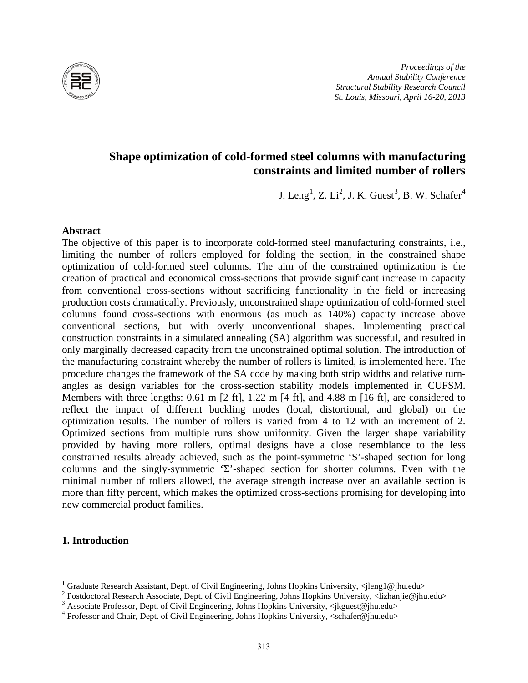

*Proceedings of the Annual Stability Conference Structural Stability Research Council St. Louis, Missouri, April 16-20, 2013*

# **Shape optimization of cold-formed steel columns with manufacturing constraints and limited number of rollers**

J. Leng<sup>[1](#page-0-0)</sup>, Z. Li<sup>[2](#page-0-1)</sup>, J. K. Guest<sup>[3](#page-0-2)</sup>, B. W. Schafer<sup>[4](#page-0-3)</sup>

### **Abstract**

The objective of this paper is to incorporate cold-formed steel manufacturing constraints, i.e., limiting the number of rollers employed for folding the section, in the constrained shape optimization of cold-formed steel columns. The aim of the constrained optimization is the creation of practical and economical cross-sections that provide significant increase in capacity from conventional cross-sections without sacrificing functionality in the field or increasing production costs dramatically. Previously, unconstrained shape optimization of cold-formed steel columns found cross-sections with enormous (as much as 140%) capacity increase above conventional sections, but with overly unconventional shapes. Implementing practical construction constraints in a simulated annealing (SA) algorithm was successful, and resulted in only marginally decreased capacity from the unconstrained optimal solution. The introduction of the manufacturing constraint whereby the number of rollers is limited, is implemented here. The procedure changes the framework of the SA code by making both strip widths and relative turnangles as design variables for the cross-section stability models implemented in CUFSM. Members with three lengths:  $0.61 \text{ m}$  [2 ft],  $1.22 \text{ m}$  [4 ft], and 4.88 m [16 ft], are considered to reflect the impact of different buckling modes (local, distortional, and global) on the optimization results. The number of rollers is varied from 4 to 12 with an increment of 2. Optimized sections from multiple runs show uniformity. Given the larger shape variability provided by having more rollers, optimal designs have a close resemblance to the less constrained results already achieved, such as the point-symmetric 'S'-shaped section for long columns and the singly-symmetric 'Σ'-shaped section for shorter columns. Even with the minimal number of rollers allowed, the average strength increase over an available section is more than fifty percent, which makes the optimized cross-sections promising for developing into new commercial product families.

# **1. Introduction**

<span id="page-0-1"></span><span id="page-0-0"></span><sup>&</sup>lt;sup>1</sup> Graduate Research Assistant, Dept. of Civil Engineering, Johns Hopkins University,  $\langle$ jleng1@jhu.edu><sup>2</sup> Postdoctoral Research Associate, Dept. of Civil Engineering, Johns Hopkins University,  $\langle$ lizhanjie@jhu.edu><sup>3</sup>

<span id="page-0-2"></span>

<span id="page-0-3"></span>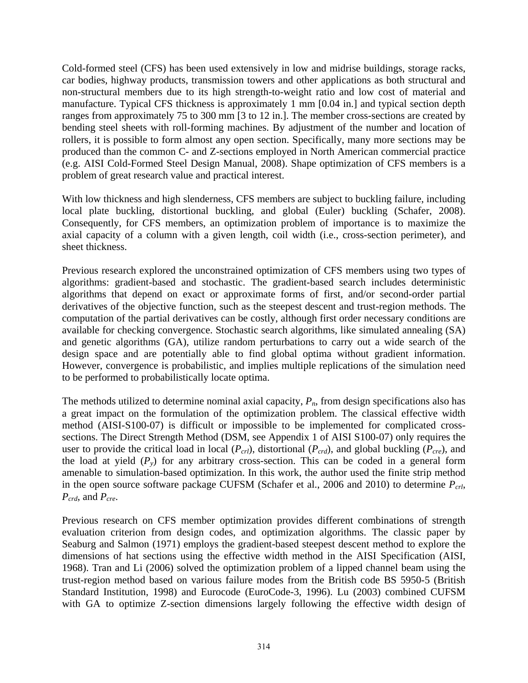Cold-formed steel (CFS) has been used extensively in low and midrise buildings, storage racks, car bodies, highway products, transmission towers and other applications as both structural and non-structural members due to its high strength-to-weight ratio and low cost of material and manufacture. Typical CFS thickness is approximately 1 mm [0.04 in.] and typical section depth ranges from approximately 75 to 300 mm [3 to 12 in.]. The member cross-sections are created by bending steel sheets with roll-forming machines. By adjustment of the number and location of rollers, it is possible to form almost any open section. Specifically, many more sections may be produced than the common C- and Z-sections employed in North American commercial practice (e.g. AISI Cold-Formed Steel Design Manual, 2008). Shape optimization of CFS members is a problem of great research value and practical interest.

With low thickness and high slenderness, CFS members are subject to buckling failure, including local plate buckling, distortional buckling, and global (Euler) buckling (Schafer, 2008). Consequently, for CFS members, an optimization problem of importance is to maximize the axial capacity of a column with a given length, coil width (i.e., cross-section perimeter), and sheet thickness.

Previous research explored the unconstrained optimization of CFS members using two types of algorithms: gradient-based and stochastic. The gradient-based search includes deterministic algorithms that depend on exact or approximate forms of first, and/or second-order partial derivatives of the objective function, such as the steepest descent and trust-region methods. The computation of the partial derivatives can be costly, although first order necessary conditions are available for checking convergence. Stochastic search algorithms, like simulated annealing (SA) and genetic algorithms (GA), utilize random perturbations to carry out a wide search of the design space and are potentially able to find global optima without gradient information. However, convergence is probabilistic, and implies multiple replications of the simulation need to be performed to probabilistically locate optima.

The methods utilized to determine nominal axial capacity,  $P_n$ , from design specifications also has a great impact on the formulation of the optimization problem. The classical effective width method (AISI-S100-07) is difficult or impossible to be implemented for complicated crosssections. The Direct Strength Method (DSM, see Appendix 1 of AISI S100-07) only requires the user to provide the critical load in local  $(P_{crl})$ , distortional  $(P_{crd})$ , and global buckling  $(P_{cre})$ , and the load at yield  $(P_y)$  for any arbitrary cross-section. This can be coded in a general form amenable to simulation-based optimization. In this work, the author used the finite strip method in the open source software package CUFSM (Schafer et al., 2006 and 2010) to determine  $P_{\text{crl}}$ ,  $P_{crd}$ , and  $P_{cre}$ .

Previous research on CFS member optimization provides different combinations of strength evaluation criterion from design codes, and optimization algorithms. The classic paper by Seaburg and Salmon (1971) employs the gradient-based steepest descent method to explore the dimensions of hat sections using the effective width method in the AISI Specification (AISI, 1968). Tran and Li (2006) solved the optimization problem of a lipped channel beam using the trust-region method based on various failure modes from the British code BS 5950-5 (British Standard Institution, 1998) and Eurocode (EuroCode-3, 1996). Lu (2003) combined CUFSM with GA to optimize Z-section dimensions largely following the effective width design of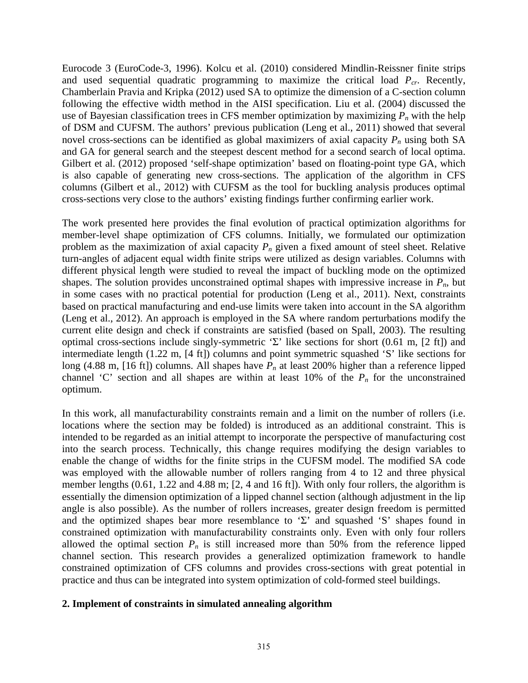Eurocode 3 (EuroCode-3, 1996). Kolcu et al. (2010) considered Mindlin-Reissner finite strips and used sequential quadratic programming to maximize the critical load  $P_{cr}$ . Recently, Chamberlain Pravia and Kripka (2012) used SA to optimize the dimension of a C-section column following the effective width method in the AISI specification. Liu et al. (2004) discussed the use of Bayesian classification trees in CFS member optimization by maximizing  $P_n$  with the help of DSM and CUFSM. The authors' previous publication (Leng et al., 2011) showed that several novel cross-sections can be identified as global maximizers of axial capacity  $P_n$  using both SA and GA for general search and the steepest descent method for a second search of local optima. Gilbert et al. (2012) proposed 'self-shape optimization' based on floating-point type GA, which is also capable of generating new cross-sections. The application of the algorithm in CFS columns (Gilbert et al., 2012) with CUFSM as the tool for buckling analysis produces optimal cross-sections very close to the authors' existing findings further confirming earlier work.

The work presented here provides the final evolution of practical optimization algorithms for member-level shape optimization of CFS columns. Initially, we formulated our optimization problem as the maximization of axial capacity  $P_n$  given a fixed amount of steel sheet. Relative turn-angles of adjacent equal width finite strips were utilized as design variables. Columns with different physical length were studied to reveal the impact of buckling mode on the optimized shapes. The solution provides unconstrained optimal shapes with impressive increase in  $P_n$ , but in some cases with no practical potential for production (Leng et al., 2011). Next, constraints based on practical manufacturing and end-use limits were taken into account in the SA algorithm (Leng et al., 2012). An approach is employed in the SA where random perturbations modify the current elite design and check if constraints are satisfied (based on Spall, 2003). The resulting optimal cross-sections include singly-symmetric 'Σ' like sections for short  $(0.61 \text{ m}, [2 \text{ ft}])$  and intermediate length (1.22 m, [4 ft]) columns and point symmetric squashed 'S' like sections for long (4.88 m, [16 ft]) columns. All shapes have  $P_n$  at least 200% higher than a reference lipped channel 'C' section and all shapes are within at least 10% of the  $P_n$  for the unconstrained optimum.

In this work, all manufacturability constraints remain and a limit on the number of rollers (i.e. locations where the section may be folded) is introduced as an additional constraint. This is intended to be regarded as an initial attempt to incorporate the perspective of manufacturing cost into the search process. Technically, this change requires modifying the design variables to enable the change of widths for the finite strips in the CUFSM model. The modified SA code was employed with the allowable number of rollers ranging from 4 to 12 and three physical member lengths (0.61, 1.22 and 4.88 m; [2, 4 and 16 ft]). With only four rollers, the algorithm is essentially the dimension optimization of a lipped channel section (although adjustment in the lip angle is also possible). As the number of rollers increases, greater design freedom is permitted and the optimized shapes bear more resemblance to ' $\Sigma$ ' and squashed 'S' shapes found in constrained optimization with manufacturability constraints only. Even with only four rollers allowed the optimal section  $P_n$  is still increased more than 50% from the reference lipped channel section. This research provides a generalized optimization framework to handle constrained optimization of CFS columns and provides cross-sections with great potential in practice and thus can be integrated into system optimization of cold-formed steel buildings.

# **2. Implement of constraints in simulated annealing algorithm**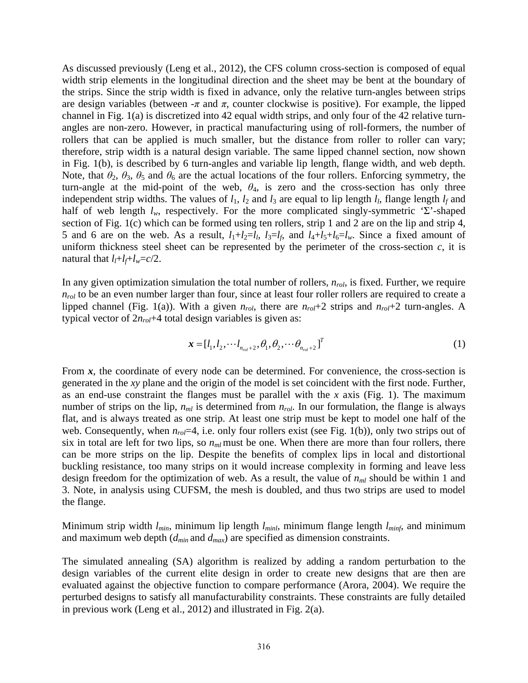As discussed previously (Leng et al., 2012), the CFS column cross-section is composed of equal width strip elements in the longitudinal direction and the sheet may be bent at the boundary of the strips. Since the strip width is fixed in advance, only the relative turn-angles between strips are design variables (between  $-\pi$  and  $\pi$ , counter clockwise is positive). For example, the lipped channel in Fig. 1(a) is discretized into 42 equal width strips, and only four of the 42 relative turnangles are non-zero. However, in practical manufacturing using of roll-formers, the number of rollers that can be applied is much smaller, but the distance from roller to roller can vary; therefore, strip width is a natural design variable. The same lipped channel section, now shown in Fig. 1(b), is described by 6 turn-angles and variable lip length, flange width, and web depth. Note, that  $\theta_2$ ,  $\theta_3$ ,  $\theta_5$  and  $\theta_6$  are the actual locations of the four rollers. Enforcing symmetry, the turn-angle at the mid-point of the web,  $\theta_4$ , is zero and the cross-section has only three independent strip widths. The values of  $l_1$ ,  $l_2$  and  $l_3$  are equal to lip length  $l_l$ , flange length  $l_f$  and half of web length  $l_w$ , respectively. For the more complicated singly-symmetric 'Σ'-shaped section of Fig. 1(c) which can be formed using ten rollers, strip 1 and 2 are on the lip and strip 4, 5 and 6 are on the web. As a result,  $l_1+l_2=l_l$ ,  $l_3=l_f$ , and  $l_4+l_5+l_6=l_w$ . Since a fixed amount of uniform thickness steel sheet can be represented by the perimeter of the cross-section *c*, it is natural that  $l_l+l_f+l_w=c/2$ .

In any given optimization simulation the total number of rollers,  $n_{rol}$ , is fixed. Further, we require  $n_{rol}$  to be an even number larger than four, since at least four roller rollers are required to create a lipped channel (Fig. 1(a)). With a given *nrol*, there are *nrol*+2 strips and *nrol*+2 turn-angles. A typical vector of  $2n_{rol}+4$  total design variables is given as:

$$
\mathbf{x} = [l_1, l_2, \cdots l_{n_{rel}+2}, \theta_1, \theta_2, \cdots \theta_{n_{rel}+2}]^T
$$
 (1)

From x, the coordinate of every node can be determined. For convenience, the cross-section is generated in the *xy* plane and the origin of the model is set coincident with the first node. Further, as an end-use constraint the flanges must be parallel with the *x* axis (Fig. 1). The maximum number of strips on the lip,  $n<sub>ml</sub>$  is determined from  $n<sub>rol</sub>$ . In our formulation, the flange is always flat, and is always treated as one strip. At least one strip must be kept to model one half of the web. Consequently, when  $n_{rel}=4$ , i.e. only four rollers exist (see Fig. 1(b)), only two strips out of six in total are left for two lips, so  $n<sub>ml</sub>$  must be one. When there are more than four rollers, there can be more strips on the lip. Despite the benefits of complex lips in local and distortional buckling resistance, too many strips on it would increase complexity in forming and leave less design freedom for the optimization of web. As a result, the value of *nml* should be within 1 and 3. Note, in analysis using CUFSM, the mesh is doubled, and thus two strips are used to model the flange.

Minimum strip width *lmin*, minimum lip length *lminl*, minimum flange length *lminf*, and minimum and maximum web depth (*dmin* and *dmax*) are specified as dimension constraints.

The simulated annealing (SA) algorithm is realized by adding a random perturbation to the design variables of the current elite design in order to create new designs that are then are evaluated against the objective function to compare performance (Arora, 2004). We require the perturbed designs to satisfy all manufacturability constraints. These constraints are fully detailed in previous work (Leng et al., 2012) and illustrated in Fig. 2(a).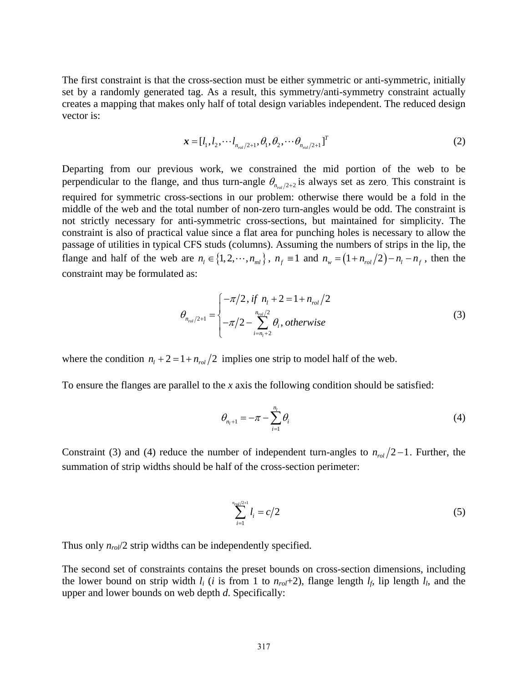The first constraint is that the cross-section must be either symmetric or anti-symmetric, initially set by a randomly generated tag. As a result, this symmetry/anti-symmetry constraint actually creates a mapping that makes only half of total design variables independent. The reduced design vector is:

$$
\mathbf{x} = [l_1, l_2, \cdots l_{n_{\text{rel}}/2+1}, \theta_1, \theta_2, \cdots \theta_{n_{\text{rel}}/2+1}]^T
$$
 (2)

Departing from our previous work, we constrained the mid portion of the web to be perpendicular to the flange, and thus turn-angle  $\theta_{n_{rel}/2+2}$  is always set as zero. This constraint is required for symmetric cross-sections in our problem: otherwise there would be a fold in the middle of the web and the total number of non-zero turn-angles would be odd. The constraint is not strictly necessary for anti-symmetric cross-sections, but maintained for simplicity. The constraint is also of practical value since a flat area for punching holes is necessary to allow the passage of utilities in typical CFS studs (columns). Assuming the numbers of strips in the lip, the flange and half of the web are  $n_i \in \{1, 2, \dots, n_{ml}\}\$ ,  $n_f \equiv 1$  and  $n_w = (1 + n_{rol}/2) - n_l - n_f$ , then the constraint may be formulated as:

$$
\theta_{n_{rel}/2+1} = \begin{cases}\n-\pi/2, & \text{if } n_1 + 2 = 1 + n_{rel}/2 \\
-\pi/2 - \sum_{i=n_1+2}^{n_{rel}/2} \theta_i, & \text{otherwise}\n\end{cases}
$$
\n(3)

where the condition  $n_1 + 2 = 1 + n_{rel}/2$  implies one strip to model half of the web.

To ensure the flanges are parallel to the *x* axis the following condition should be satisfied:

$$
\theta_{n_i+1} = -\pi - \sum_{i=1}^{n_i} \theta_i
$$
\n(4)

Constraint (3) and (4) reduce the number of independent turn-angles to  $n_{rel}/2 - 1$ . Further, the summation of strip widths should be half of the cross-section perimeter:

$$
\sum_{i=1}^{n_{\text{rod}}/2+1} l_i = c/2 \tag{5}
$$

Thus only  $n_{rol}/2$  strip widths can be independently specified.

The second set of constraints contains the preset bounds on cross-section dimensions, including the lower bound on strip width  $l_i$  (*i* is from 1 to  $n_{rol}+2$ ), flange length  $l_f$ , lip length  $l_l$ , and the upper and lower bounds on web depth *d*. Specifically: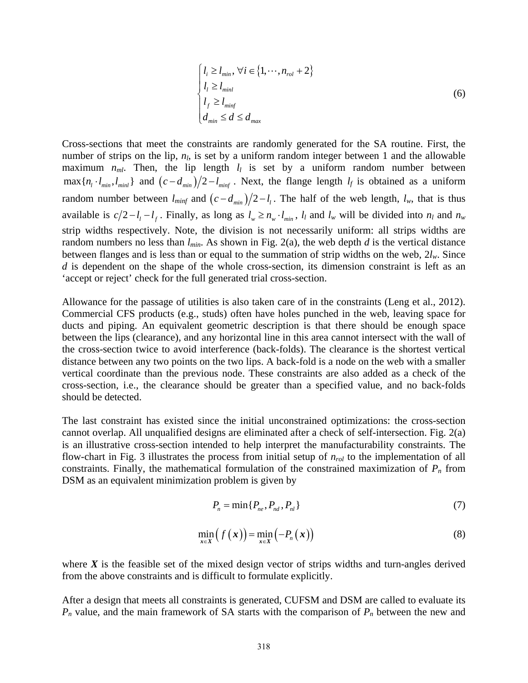$$
\begin{cases}\n l_i \ge l_{min}, \forall i \in \{1, \cdots, n_{rol} + 2\} \\
 l_l \ge l_{min} \\
 l_f \ge l_{min} \\
 d_{min} \le d \le d_{max}\n\end{cases}
$$
\n(6)

Cross-sections that meet the constraints are randomly generated for the SA routine. First, the number of strips on the lip,  $n_l$ , is set by a uniform random integer between 1 and the allowable maximum  $n_{ml}$ . Then, the lip length  $l_l$  is set by a uniform random number between  $\max\{n_l \cdot l_{min}, l_{min}\}\$  and  $(c - d_{min})/2 - l_{min}$ . Next, the flange length  $l_f$  is obtained as a uniform random number between  $l_{minf}$  and  $(c - d_{min})/2 - l_i$ . The half of the web length,  $l_w$ , that is thus available is  $c/2 - l_1 - l_f$ . Finally, as long as  $l_w \ge n_w \cdot l_{min}$ ,  $l_l$  and  $l_w$  will be divided into  $n_l$  and  $n_w$ strip widths respectively. Note, the division is not necessarily uniform: all strips widths are random numbers no less than  $l_{min}$ . As shown in Fig. 2(a), the web depth *d* is the vertical distance between flanges and is less than or equal to the summation of strip widths on the web, 2*lw*. Since *d* is dependent on the shape of the whole cross-section, its dimension constraint is left as an 'accept or reject' check for the full generated trial cross-section.

Allowance for the passage of utilities is also taken care of in the constraints (Leng et al., 2012). Commercial CFS products (e.g., studs) often have holes punched in the web, leaving space for ducts and piping. An equivalent geometric description is that there should be enough space between the lips (clearance), and any horizontal line in this area cannot intersect with the wall of the cross-section twice to avoid interference (back-folds). The clearance is the shortest vertical distance between any two points on the two lips. A back-fold is a node on the web with a smaller vertical coordinate than the previous node. These constraints are also added as a check of the cross-section, i.e., the clearance should be greater than a specified value, and no back-folds should be detected.

The last constraint has existed since the initial unconstrained optimizations: the cross-section cannot overlap. All unqualified designs are eliminated after a check of self-intersection. Fig. 2(a) is an illustrative cross-section intended to help interpret the manufacturability constraints. The flow-chart in Fig. 3 illustrates the process from initial setup of  $n_{rol}$  to the implementation of all constraints. Finally, the mathematical formulation of the constrained maximization of  $P_n$  from DSM as an equivalent minimization problem is given by

$$
P_n = \min\{P_{ne}, P_{nd}, P_{nl}\}\tag{7}
$$

$$
\min_{x \in X} \left( f(x) \right) = \min_{x \in X} \left( -P_n(x) \right) \tag{8}
$$

where  $X$  is the feasible set of the mixed design vector of strips widths and turn-angles derived from the above constraints and is difficult to formulate explicitly.

After a design that meets all constraints is generated, CUFSM and DSM are called to evaluate its  $P_n$  value, and the main framework of SA starts with the comparison of  $P_n$  between the new and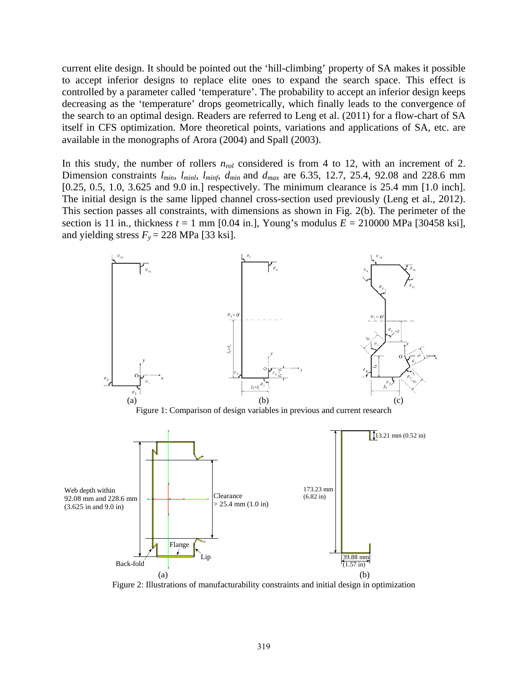current elite design. It should be pointed out the 'hill-climbing' property of SA makes it possible to accept inferior designs to replace elite ones to expand the search space. This effect is controlled by a parameter called 'temperature'. The probability to accept an inferior design keeps decreasing as the 'temperature' drops geometrically, which finally leads to the convergence of the search to an optimal design. Readers are referred to Leng et al. (2011) for a flow-chart of SA itself in CFS optimization. More theoretical points, variations and applications of SA, etc. are available in the monographs of Arora (2004) and Spall (2003).

In this study, the number of rollers  $n_{rol}$  considered is from 4 to 12, with an increment of 2. Dimension constraints *lmin*, *lminl*, *lminf*, *dmin* and *dmax* are 6.35, 12.7, 25.4, 92.08 and 228.6 mm [0.25, 0.5, 1.0, 3.625 and 9.0 in.] respectively. The minimum clearance is 25.4 mm [1.0 inch]. The initial design is the same lipped channel cross-section used previously (Leng et al., 2012). This section passes all constraints, with dimensions as shown in Fig. 2(b). The perimeter of the section is 11 in., thickness  $t = 1$  mm [0.04 in.], Young's modulus  $E = 210000$  MPa [30458 ksi], and yielding stress  $F_y = 228 \text{ MPa}$  [33 ksi].



Figure 2: Illustrations of manufacturability constraints and initial design in optimization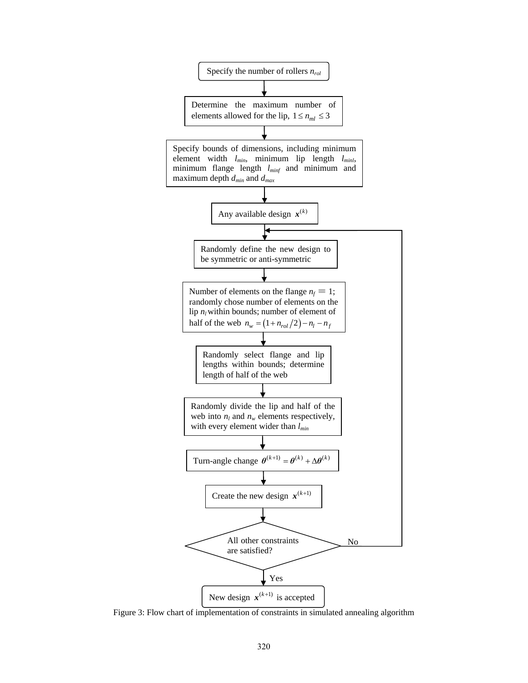

Figure 3: Flow chart of implementation of constraints in simulated annealing algorithm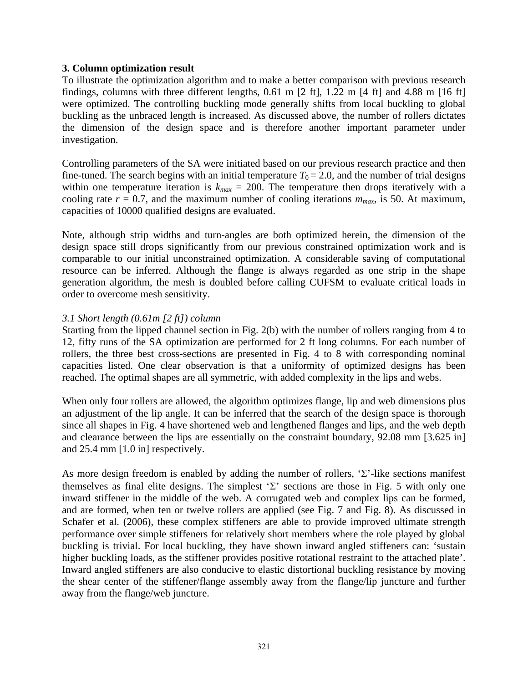# **3. Column optimization result**

To illustrate the optimization algorithm and to make a better comparison with previous research findings, columns with three different lengths, 0.61 m [2 ft], 1.22 m [4 ft] and 4.88 m [16 ft] were optimized. The controlling buckling mode generally shifts from local buckling to global buckling as the unbraced length is increased. As discussed above, the number of rollers dictates the dimension of the design space and is therefore another important parameter under investigation.

Controlling parameters of the SA were initiated based on our previous research practice and then fine-tuned. The search begins with an initial temperature  $T_0 = 2.0$ , and the number of trial designs within one temperature iteration is  $k_{max} = 200$ . The temperature then drops iteratively with a cooling rate  $r = 0.7$ , and the maximum number of cooling iterations  $m_{max}$ , is 50. At maximum, capacities of 10000 qualified designs are evaluated.

Note, although strip widths and turn-angles are both optimized herein, the dimension of the design space still drops significantly from our previous constrained optimization work and is comparable to our initial unconstrained optimization. A considerable saving of computational resource can be inferred. Although the flange is always regarded as one strip in the shape generation algorithm, the mesh is doubled before calling CUFSM to evaluate critical loads in order to overcome mesh sensitivity.

# *3.1 Short length (0.61m [2 ft]) column*

Starting from the lipped channel section in Fig. 2(b) with the number of rollers ranging from 4 to 12, fifty runs of the SA optimization are performed for 2 ft long columns. For each number of rollers, the three best cross-sections are presented in Fig. 4 to 8 with corresponding nominal capacities listed. One clear observation is that a uniformity of optimized designs has been reached. The optimal shapes are all symmetric, with added complexity in the lips and webs.

When only four rollers are allowed, the algorithm optimizes flange, lip and web dimensions plus an adjustment of the lip angle. It can be inferred that the search of the design space is thorough since all shapes in Fig. 4 have shortened web and lengthened flanges and lips, and the web depth and clearance between the lips are essentially on the constraint boundary, 92.08 mm [3.625 in] and 25.4 mm [1.0 in] respectively.

As more design freedom is enabled by adding the number of rollers, 'Σ'-like sections manifest themselves as final elite designs. The simplest ' $\Sigma$ ' sections are those in Fig. 5 with only one inward stiffener in the middle of the web. A corrugated web and complex lips can be formed, and are formed, when ten or twelve rollers are applied (see Fig. 7 and Fig. 8). As discussed in Schafer et al. (2006), these complex stiffeners are able to provide improved ultimate strength performance over simple stiffeners for relatively short members where the role played by global buckling is trivial. For local buckling, they have shown inward angled stiffeners can: 'sustain higher buckling loads, as the stiffener provides positive rotational restraint to the attached plate'. Inward angled stiffeners are also conducive to elastic distortional buckling resistance by moving the shear center of the stiffener/flange assembly away from the flange/lip juncture and further away from the flange/web juncture.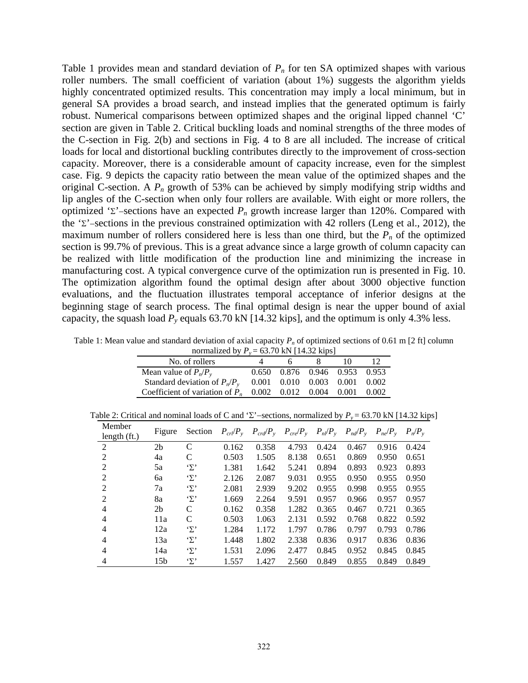Table 1 provides mean and standard deviation of  $P_n$  for ten SA optimized shapes with various roller numbers. The small coefficient of variation (about 1%) suggests the algorithm yields highly concentrated optimized results. This concentration may imply a local minimum, but in general SA provides a broad search, and instead implies that the generated optimum is fairly robust. Numerical comparisons between optimized shapes and the original lipped channel 'C' section are given in Table 2. Critical buckling loads and nominal strengths of the three modes of the C-section in Fig. 2(b) and sections in Fig. 4 to 8 are all included. The increase of critical loads for local and distortional buckling contributes directly to the improvement of cross-section capacity. Moreover, there is a considerable amount of capacity increase, even for the simplest case. Fig. 9 depicts the capacity ratio between the mean value of the optimized shapes and the original C-section. A *Pn* growth of 53% can be achieved by simply modifying strip widths and lip angles of the C-section when only four rollers are available. With eight or more rollers, the optimized 'Σ'−sections have an expected *Pn* growth increase larger than 120%. Compared with the 'Σ'−sections in the previous constrained optimization with 42 rollers (Leng et al., 2012), the maximum number of rollers considered here is less than one third, but the  $P_n$  of the optimized section is 99.7% of previous. This is a great advance since a large growth of column capacity can be realized with little modification of the production line and minimizing the increase in manufacturing cost. A typical convergence curve of the optimization run is presented in Fig. 10. The optimization algorithm found the optimal design after about 3000 objective function evaluations, and the fluctuation illustrates temporal acceptance of inferior designs at the beginning stage of search process. The final optimal design is near the upper bound of axial capacity, the squash load  $P_y$  equals 63.70 kN [14.32 kips], and the optimum is only 4.3% less.

Table 1: Mean value and standard deviation of axial capacity  $P_n$  of optimized sections of 0.61 m [2 ft] column

| normalized by $P_v = 63.70$ kN [14.32 kips]                     |  |    |                                         |    |  |  |  |  |
|-----------------------------------------------------------------|--|----|-----------------------------------------|----|--|--|--|--|
| No. of rollers                                                  |  | h. |                                         | 10 |  |  |  |  |
| Mean value of $P_n/P_v$                                         |  |    | 0.650 0.876 0.946 0.953 0.953           |    |  |  |  |  |
| Standard deviation of $P_n/P_{\gamma}$                          |  |    | $0.001$ $0.010$ $0.003$ $0.001$ $0.002$ |    |  |  |  |  |
| Coefficient of variation of $P_n$ 0.002 0.012 0.004 0.001 0.002 |  |    |                                         |    |  |  |  |  |

Table 2: Critical and nominal loads of C and 'Σ'–sections, normalized by  $P_y = 63.70$  kN [14.32 kips]

| Member<br>length $(ft.)$ | Figure          | Section          |       | $P_{\text{crl}}/P_{\text{y}}$ $P_{\text{crd}}/P_{\text{y}}$ $P_{\text{crel}}/P_{\text{y}}$ $P_{\text{nl}}/P_{\text{y}}$ $P_{\text{nd}}/P_{\text{y}}$ |       |       |       | $P_{ne}/P_{y}$ | $P_n/P_v$ |
|--------------------------|-----------------|------------------|-------|------------------------------------------------------------------------------------------------------------------------------------------------------|-------|-------|-------|----------------|-----------|
| 2                        | 2 <sub>b</sub>  | C                | 0.162 | 0.358                                                                                                                                                | 4.793 | 0.424 | 0.467 | 0.916          | 0.424     |
| 2                        | 4a              | C                | 0.503 | 1.505                                                                                                                                                | 8.138 | 0.651 | 0.869 | 0.950          | 0.651     |
| 2                        | 5a              | $\cdot_{\Sigma}$ | 1.381 | 1.642                                                                                                                                                | 5.241 | 0.894 | 0.893 | 0.923          | 0.893     |
| $\overline{2}$           | 6a              | 'Σ'              | 2.126 | 2.087                                                                                                                                                | 9.031 | 0.955 | 0.950 | 0.955          | 0.950     |
| $\overline{2}$           | 7a              | 'Σ'              | 2.081 | 2.939                                                                                                                                                | 9.202 | 0.955 | 0.998 | 0.955          | 0.955     |
| 2                        | 8a              | 'Σ'              | 1.669 | 2.264                                                                                                                                                | 9.591 | 0.957 | 0.966 | 0.957          | 0.957     |
| $\overline{4}$           | 2 <sub>b</sub>  | C                | 0.162 | 0.358                                                                                                                                                | 1.282 | 0.365 | 0.467 | 0.721          | 0.365     |
| 4                        | 11a             | C                | 0.503 | 1.063                                                                                                                                                | 2.131 | 0.592 | 0.768 | 0.822          | 0.592     |
| $\overline{4}$           | 12a             | $\cdot_{\Sigma}$ | 1.284 | 1.172                                                                                                                                                | 1.797 | 0.786 | 0.797 | 0.793          | 0.786     |
| 4                        | 13a             | $\cdot_{\Sigma}$ | 1.448 | 1.802                                                                                                                                                | 2.338 | 0.836 | 0.917 | 0.836          | 0.836     |
| $\overline{4}$           | 14a             | 'Σ'              | 1.531 | 2.096                                                                                                                                                | 2.477 | 0.845 | 0.952 | 0.845          | 0.845     |
| 4                        | 15 <sub>b</sub> | 'Σ'              | 1.557 | 1.427                                                                                                                                                | 2.560 | 0.849 | 0.855 | 0.849          | 0.849     |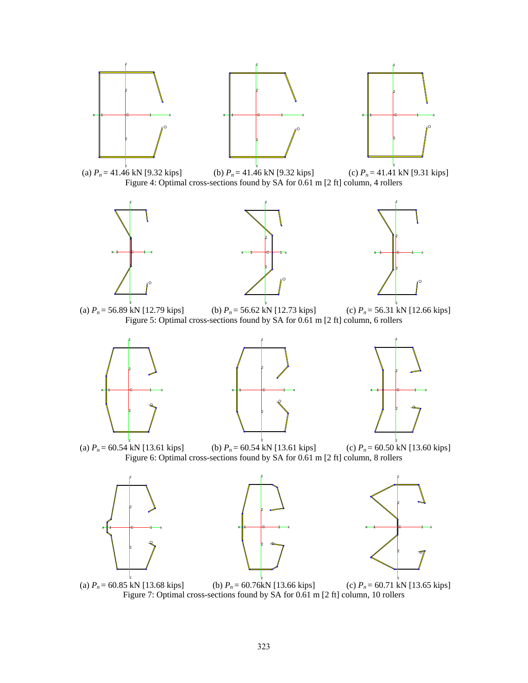













z

(a)  $P_n = 56.89 \text{ kN}$  [12.79 kips] (b)  $P_n = 56.62 \text{ kN}$  [12.73 kips] (c)  $P_n = 56.31 \text{ kN}$  [12.66 kips] Figure 5: Optimal cross-sections found by SA for 0.61 m [2 ft] column, 6 rollers















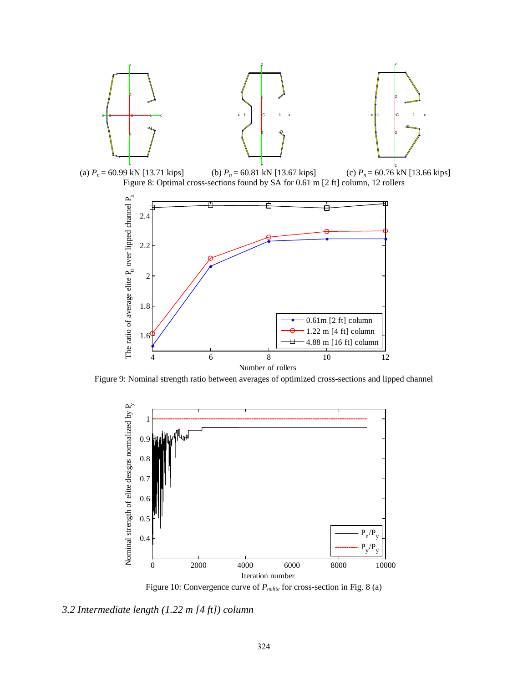

Figure 9: Nominal strength ratio between averages of optimized cross-sections and lipped channel



Figure 10: Convergence curve of  $P_{\text{nelite}}$  for cross-section in Fig. 8 (a)

*3.2 Intermediate length (1.22 m [4 ft]) column*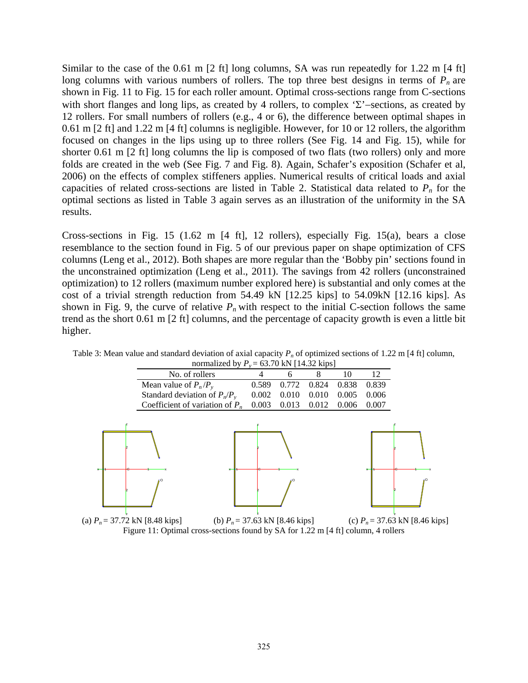Similar to the case of the 0.61 m [2 ft] long columns, SA was run repeatedly for 1.22 m [4 ft] long columns with various numbers of rollers. The top three best designs in terms of  $P_n$  are shown in Fig. 11 to Fig. 15 for each roller amount. Optimal cross-sections range from C-sections with short flanges and long lips, as created by 4 rollers, to complex 'Σ'−sections, as created by 12 rollers. For small numbers of rollers (e.g., 4 or 6), the difference between optimal shapes in 0.61 m [2 ft] and 1.22 m [4 ft] columns is negligible. However, for 10 or 12 rollers, the algorithm focused on changes in the lips using up to three rollers (See Fig. 14 and Fig. 15), while for shorter 0.61 m [2 ft] long columns the lip is composed of two flats (two rollers) only and more folds are created in the web (See Fig. 7 and Fig. 8). Again, Schafer's exposition (Schafer et al, 2006) on the effects of complex stiffeners applies. Numerical results of critical loads and axial capacities of related cross-sections are listed in Table 2. Statistical data related to  $P_n$  for the optimal sections as listed in Table 3 again serves as an illustration of the uniformity in the SA results.

Cross-sections in Fig. 15 (1.62 m [4 ft], 12 rollers), especially Fig. 15(a), bears a close resemblance to the section found in Fig. 5 of our previous paper on shape optimization of CFS columns (Leng et al., 2012). Both shapes are more regular than the 'Bobby pin' sections found in the unconstrained optimization (Leng et al., 2011). The savings from 42 rollers (unconstrained optimization) to 12 rollers (maximum number explored here) is substantial and only comes at the cost of a trivial strength reduction from 54.49 kN [12.25 kips] to 54.09kN [12.16 kips]. As shown in Fig. 9, the curve of relative  $P_n$  with respect to the initial C-section follows the same trend as the short 0.61 m [2 ft] columns, and the percentage of capacity growth is even a little bit higher.



Table 3: Mean value and standard deviation of axial capacity  $P_n$  of optimized sections of 1.22 m [4 ft] column, normalized by  $P_y = 63.70 \text{ kN}$  [14.32 kips]

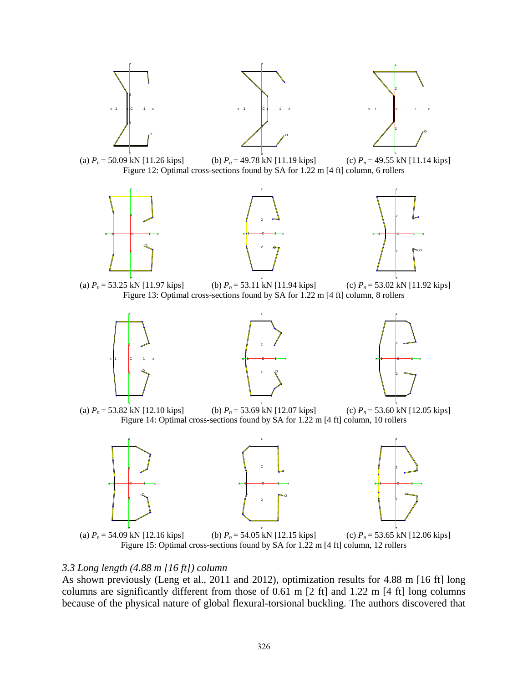

### *3.3 Long length (4.88 m [16 ft]) column*

As shown previously (Leng et al., 2011 and 2012), optimization results for 4.88 m [16 ft] long columns are significantly different from those of 0.61 m [2 ft] and 1.22 m [4 ft] long columns because of the physical nature of global flexural-torsional buckling. The authors discovered that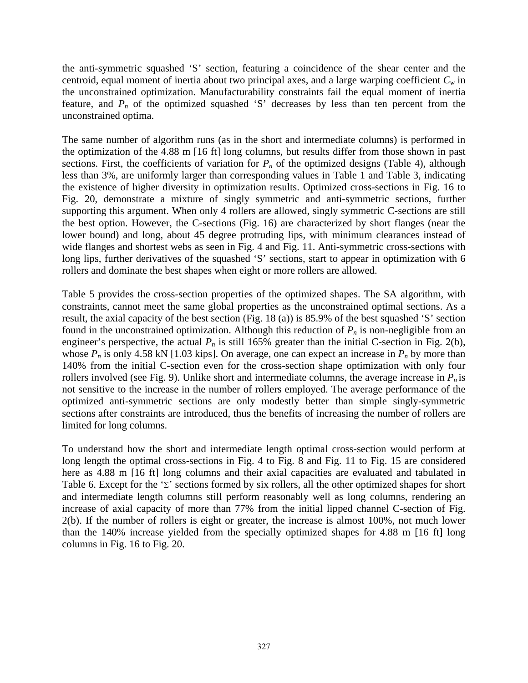the anti-symmetric squashed 'S' section, featuring a coincidence of the shear center and the centroid, equal moment of inertia about two principal axes, and a large warping coefficient  $C_w$  in the unconstrained optimization. Manufacturability constraints fail the equal moment of inertia feature, and  $P_n$  of the optimized squashed 'S' decreases by less than ten percent from the unconstrained optima.

The same number of algorithm runs (as in the short and intermediate columns) is performed in the optimization of the 4.88 m [16 ft] long columns, but results differ from those shown in past sections. First, the coefficients of variation for  $P_n$  of the optimized designs (Table 4), although less than 3%, are uniformly larger than corresponding values in Table 1 and Table 3, indicating the existence of higher diversity in optimization results. Optimized cross-sections in Fig. 16 to Fig. 20, demonstrate a mixture of singly symmetric and anti-symmetric sections, further supporting this argument. When only 4 rollers are allowed, singly symmetric C-sections are still the best option. However, the C-sections (Fig. 16) are characterized by short flanges (near the lower bound) and long, about 45 degree protruding lips, with minimum clearances instead of wide flanges and shortest webs as seen in Fig. 4 and Fig. 11. Anti-symmetric cross-sections with long lips, further derivatives of the squashed 'S' sections, start to appear in optimization with 6 rollers and dominate the best shapes when eight or more rollers are allowed.

Table 5 provides the cross-section properties of the optimized shapes. The SA algorithm, with constraints, cannot meet the same global properties as the unconstrained optimal sections. As a result, the axial capacity of the best section (Fig. 18 (a)) is 85.9% of the best squashed 'S' section found in the unconstrained optimization. Although this reduction of  $P_n$  is non-negligible from an engineer's perspective, the actual  $P_n$  is still 165% greater than the initial C-section in Fig. 2(b), whose  $P_n$  is only 4.58 kN [1.03 kips]. On average, one can expect an increase in  $P_n$  by more than 140% from the initial C-section even for the cross-section shape optimization with only four rollers involved (see Fig. 9). Unlike short and intermediate columns, the average increase in  $P_n$  is not sensitive to the increase in the number of rollers employed. The average performance of the optimized anti-symmetric sections are only modestly better than simple singly-symmetric sections after constraints are introduced, thus the benefits of increasing the number of rollers are limited for long columns.

To understand how the short and intermediate length optimal cross-section would perform at long length the optimal cross-sections in Fig. 4 to Fig. 8 and Fig. 11 to Fig. 15 are considered here as 4.88 m [16 ft] long columns and their axial capacities are evaluated and tabulated in Table 6. Except for the ' $\Sigma$ ' sections formed by six rollers, all the other optimized shapes for short and intermediate length columns still perform reasonably well as long columns, rendering an increase of axial capacity of more than 77% from the initial lipped channel C-section of Fig. 2(b). If the number of rollers is eight or greater, the increase is almost 100%, not much lower than the 140% increase yielded from the specially optimized shapes for 4.88 m [16 ft] long columns in Fig. 16 to Fig. 20.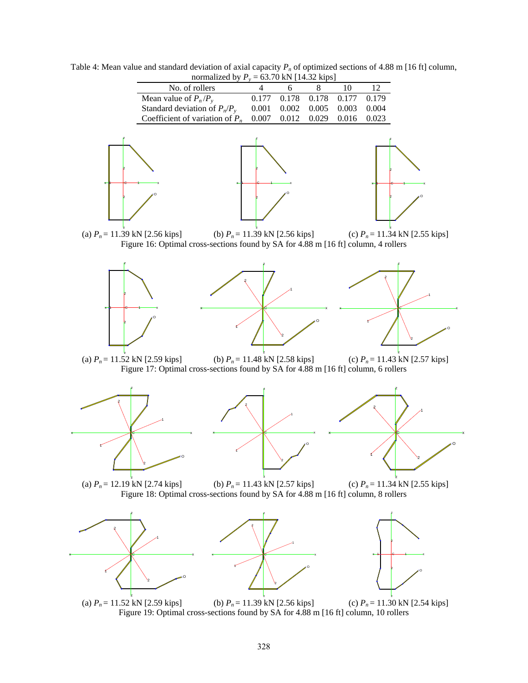Table 4: Mean value and standard deviation of axial capacity  $P_n$  of optimized sections of 4.88 m [16 ft] column, normalized by  $P_v = 63.70 \text{ kN}$  [14.32 kips]

| Mean value of $P_n/P_v$           | 0.177 0.178 0.178 0.177 0.179           |  |  |
|-----------------------------------|-----------------------------------------|--|--|
| Standard deviation of $P_n/P_v$   | $0.001$ $0.002$ $0.005$ $0.003$ $0.004$ |  |  |
| Coefficient of variation of $P_n$ | $0.007$ $0.012$ $0.029$ $0.016$ $0.023$ |  |  |







(a) *P<sub>n</sub>* = 11.39 kN [2.56 kips] (b) *P<sub>n</sub>* = 11.39 kN [2.56 kips] (c) *P<sub>n</sub>* = 11.34 kN [2.55 kips] Figure 16: Optimal cross-sections found by SA for 4.88 m [16 ft] column, 4 rollers

z







z

(a)  $P_n = 11.52$  kN [2.59 kips] (a)  $P_n = 11.52$  kN [2.59 kips] (b)  $P_n = 11.48$  kN [2.58 kips] (c)  $P_n = 11.43$  kN [2.57 kips] Figure 17: Optimal cross-sections found by SA for 4.88 m [16 ft] column, 6 rollers

z







(a)  $P_n = 12.19$  kN [2.74 kips] (c)  $P_n = 11.34$  kN [2.55 kips] (b)  $P_n = 11.43$  kN [2.57 kips] Figure 18: Optimal cross-sections found by SA for 4.88 m [16 ft] column, 8 rollers







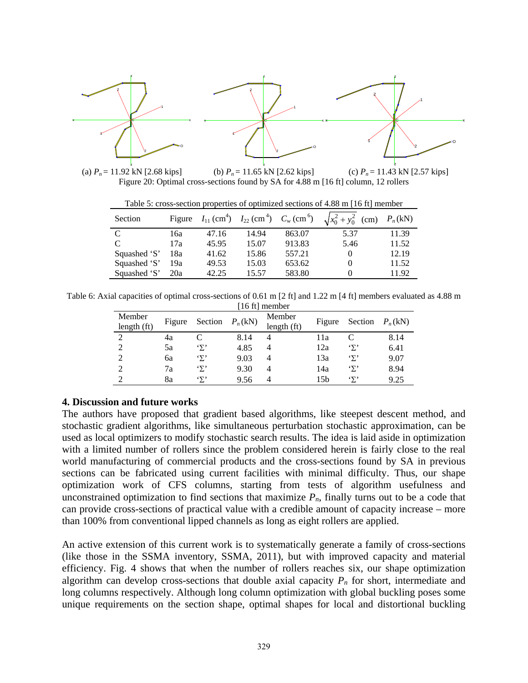

(a)  $P_n = 11.92 \text{ kN}$  [2.68 kips] (b)  $P_n = 11.65 \text{ kN}$  [2.62 kips] (c)  $P_n = 11.43 \text{ kN}$  [2.57 kips] (c)  $P_n = 11.43$  kN [2.57 kips] Figure 20: Optimal cross-sections found by SA for 4.88 m [16 ft] column, 12 rollers

Table 5: cross-section properties of optimized sections of 4.88 m [16 ft] member

| Section      |     |       |       |        | Figure $I_{11}$ (cm <sup>4</sup> ) $I_{22}$ (cm <sup>4</sup> ) $C_w$ (cm <sup>6</sup> ) $\sqrt{x_0^2 + y_0^2}$ (cm) $P_n$ (kN) |       |
|--------------|-----|-------|-------|--------|--------------------------------------------------------------------------------------------------------------------------------|-------|
| C            | 16a | 47.16 | 14.94 | 863.07 | 5.37                                                                                                                           | 11.39 |
| C            | 17a | 45.95 | 15.07 | 913.83 | 5.46                                                                                                                           | 11.52 |
| Squashed 'S' | 18a | 41.62 | 15.86 | 557.21 | $\theta$                                                                                                                       | 12.19 |
| Squashed 'S' | 19a | 49.53 | 15.03 | 653.62 |                                                                                                                                | 11.52 |
| Squashed 'S' | 20a | 42.25 | 15.57 | 583.80 |                                                                                                                                | 11.92 |

Table 6: Axial capacities of optimal cross-sections of 0.61 m [2 ft] and 1.22 m [4 ft] members evaluated as 4.88 m [16 ft] member

| Member<br>length $(ft)$ | Figure | Section | $P_n(kN)$ | Member<br>length (ft) | Figure | Section | $P_n(kN)$ |
|-------------------------|--------|---------|-----------|-----------------------|--------|---------|-----------|
| $\mathfrak{D}$          | 4a     |         | 8.14      | 4                     | 11a    |         | 8.14      |
|                         | 5a     | 'Σ'     | 4.85      | 4                     | 12a    | 'Σ'     | 6.41      |
|                         | бa     | 'Σ'     | 9.03      | 4                     | 13a    | 'Σ'     | 9.07      |
|                         | 7a     | 'Σ'     | 9.30      | $\overline{4}$        | 14a    | 'Σ'     | 8.94      |
|                         | 8a     | 'Σ'     | 9.56      | 4                     | 15b    | 'Σ'     | 9.25      |

#### **4. Discussion and future works**

The authors have proposed that gradient based algorithms, like steepest descent method, and stochastic gradient algorithms, like simultaneous perturbation stochastic approximation, can be used as local optimizers to modify stochastic search results. The idea is laid aside in optimization with a limited number of rollers since the problem considered herein is fairly close to the real world manufacturing of commercial products and the cross-sections found by SA in previous sections can be fabricated using current facilities with minimal difficulty. Thus, our shape optimization work of CFS columns, starting from tests of algorithm usefulness and unconstrained optimization to find sections that maximize  $P_n$ , finally turns out to be a code that can provide cross-sections of practical value with a credible amount of capacity increase – more than 100% from conventional lipped channels as long as eight rollers are applied.

An active extension of this current work is to systematically generate a family of cross-sections (like those in the SSMA inventory, SSMA, 2011), but with improved capacity and material efficiency. Fig. 4 shows that when the number of rollers reaches six, our shape optimization algorithm can develop cross-sections that double axial capacity  $P_n$  for short, intermediate and long columns respectively. Although long column optimization with global buckling poses some unique requirements on the section shape, optimal shapes for local and distortional buckling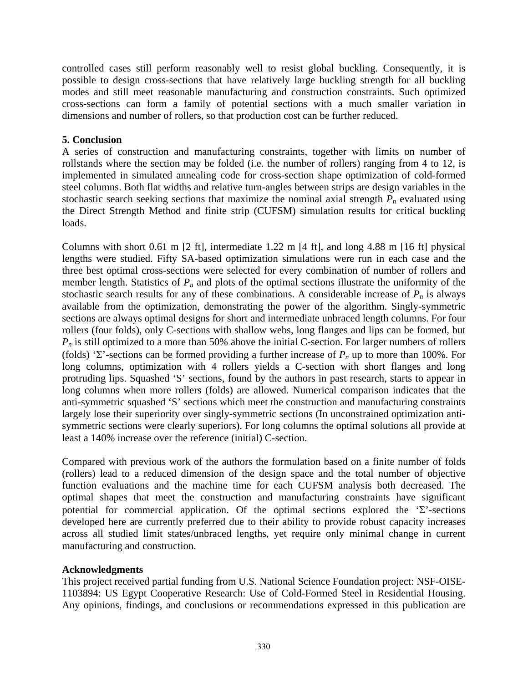controlled cases still perform reasonably well to resist global buckling. Consequently, it is possible to design cross-sections that have relatively large buckling strength for all buckling modes and still meet reasonable manufacturing and construction constraints. Such optimized cross-sections can form a family of potential sections with a much smaller variation in dimensions and number of rollers, so that production cost can be further reduced.

# **5. Conclusion**

A series of construction and manufacturing constraints, together with limits on number of rollstands where the section may be folded (i.e. the number of rollers) ranging from 4 to 12, is implemented in simulated annealing code for cross-section shape optimization of cold-formed steel columns. Both flat widths and relative turn-angles between strips are design variables in the stochastic search seeking sections that maximize the nominal axial strength  $P_n$  evaluated using the Direct Strength Method and finite strip (CUFSM) simulation results for critical buckling loads.

Columns with short 0.61 m [2 ft], intermediate 1.22 m [4 ft], and long 4.88 m [16 ft] physical lengths were studied. Fifty SA-based optimization simulations were run in each case and the three best optimal cross-sections were selected for every combination of number of rollers and member length. Statistics of  $P_n$  and plots of the optimal sections illustrate the uniformity of the stochastic search results for any of these combinations. A considerable increase of  $P_n$  is always available from the optimization, demonstrating the power of the algorithm. Singly-symmetric sections are always optimal designs for short and intermediate unbraced length columns. For four rollers (four folds), only C-sections with shallow webs, long flanges and lips can be formed, but  $P_n$  is still optimized to a more than 50% above the initial C-section. For larger numbers of rollers (folds) 'Σ'-sections can be formed providing a further increase of *Pn* up to more than 100%. For long columns, optimization with 4 rollers yields a C-section with short flanges and long protruding lips. Squashed 'S' sections, found by the authors in past research, starts to appear in long columns when more rollers (folds) are allowed. Numerical comparison indicates that the anti-symmetric squashed 'S' sections which meet the construction and manufacturing constraints largely lose their superiority over singly-symmetric sections (In unconstrained optimization antisymmetric sections were clearly superiors). For long columns the optimal solutions all provide at least a 140% increase over the reference (initial) C-section.

Compared with previous work of the authors the formulation based on a finite number of folds (rollers) lead to a reduced dimension of the design space and the total number of objective function evaluations and the machine time for each CUFSM analysis both decreased. The optimal shapes that meet the construction and manufacturing constraints have significant potential for commercial application. Of the optimal sections explored the ' $\Sigma$ '-sections developed here are currently preferred due to their ability to provide robust capacity increases across all studied limit states/unbraced lengths, yet require only minimal change in current manufacturing and construction.

# **Acknowledgments**

This project received partial funding from U.S. National Science Foundation project: NSF-OISE-1103894: US Egypt Cooperative Research: Use of Cold-Formed Steel in Residential Housing. Any opinions, findings, and conclusions or recommendations expressed in this publication are